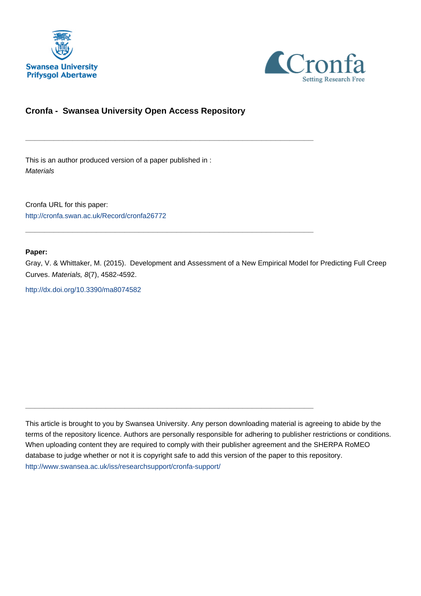



# **Cronfa - Swansea University Open Access Repository**

\_\_\_\_\_\_\_\_\_\_\_\_\_\_\_\_\_\_\_\_\_\_\_\_\_\_\_\_\_\_\_\_\_\_\_\_\_\_\_\_\_\_\_\_\_\_\_\_\_\_\_\_\_\_\_\_\_\_\_\_\_

 $\_$  , and the set of the set of the set of the set of the set of the set of the set of the set of the set of the set of the set of the set of the set of the set of the set of the set of the set of the set of the set of th

 $\_$  , and the set of the set of the set of the set of the set of the set of the set of the set of the set of the set of the set of the set of the set of the set of the set of the set of the set of the set of the set of th

This is an author produced version of a paper published in : **Materials** 

Cronfa URL for this paper: <http://cronfa.swan.ac.uk/Record/cronfa26772>

#### **Paper:**

Gray, V. & Whittaker, M. (2015). Development and Assessment of a New Empirical Model for Predicting Full Creep Curves. Materials, 8(7), 4582-4592.

<http://dx.doi.org/10.3390/ma8074582>

This article is brought to you by Swansea University. Any person downloading material is agreeing to abide by the terms of the repository licence. Authors are personally responsible for adhering to publisher restrictions or conditions. When uploading content they are required to comply with their publisher agreement and the SHERPA RoMEO database to judge whether or not it is copyright safe to add this version of the paper to this repository. [http://www.swansea.ac.uk/iss/researchsupport/cronfa-support/](http://www.swansea.ac.uk/iss/researchsupport/cronfa-support/ )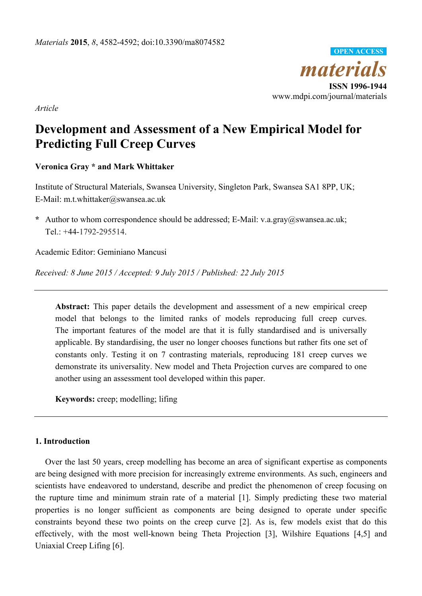

*Article* 

# **Development and Assessment of a New Empirical Model for Predicting Full Creep Curves**

# **Veronica Gray \* and Mark Whittaker**

Institute of Structural Materials, Swansea University, Singleton Park, Swansea SA1 8PP, UK; E-Mail: m.t.whittaker@swansea.ac.uk

**\*** Author to whom correspondence should be addressed; E-Mail: v.a.gray@swansea.ac.uk; Tel.: +44-1792-295514.

Academic Editor: Geminiano Mancusi

*Received: 8 June 2015 / Accepted: 9 July 2015 / Published: 22 July 2015* 

**Abstract:** This paper details the development and assessment of a new empirical creep model that belongs to the limited ranks of models reproducing full creep curves. The important features of the model are that it is fully standardised and is universally applicable. By standardising, the user no longer chooses functions but rather fits one set of constants only. Testing it on 7 contrasting materials, reproducing 181 creep curves we demonstrate its universality. New model and Theta Projection curves are compared to one another using an assessment tool developed within this paper.

**Keywords:** creep; modelling; lifing

## **1. Introduction**

Over the last 50 years, creep modelling has become an area of significant expertise as components are being designed with more precision for increasingly extreme environments. As such, engineers and scientists have endeavored to understand, describe and predict the phenomenon of creep focusing on the rupture time and minimum strain rate of a material [1]. Simply predicting these two material properties is no longer sufficient as components are being designed to operate under specific constraints beyond these two points on the creep curve [2]. As is, few models exist that do this effectively, with the most well-known being Theta Projection [3], Wilshire Equations [4,5] and Uniaxial Creep Lifing [6].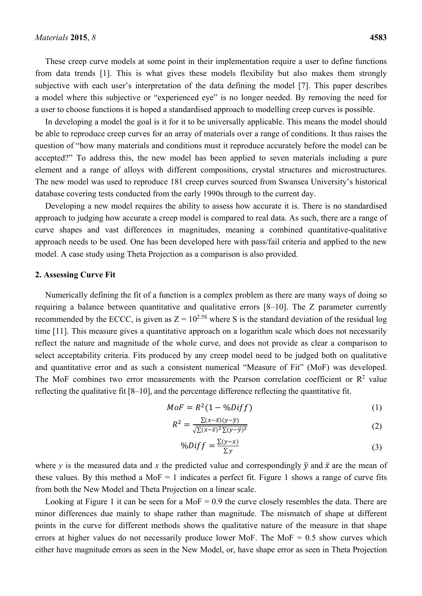These creep curve models at some point in their implementation require a user to define functions from data trends [1]. This is what gives these models flexibility but also makes them strongly subjective with each user's interpretation of the data defining the model [7]. This paper describes a model where this subjective or "experienced eye" is no longer needed. By removing the need for a user to choose functions it is hoped a standardised approach to modelling creep curves is possible.

In developing a model the goal is it for it to be universally applicable. This means the model should be able to reproduce creep curves for an array of materials over a range of conditions. It thus raises the question of "how many materials and conditions must it reproduce accurately before the model can be accepted?" To address this, the new model has been applied to seven materials including a pure element and a range of alloys with different compositions, crystal structures and microstructures. The new model was used to reproduce 181 creep curves sourced from Swansea University's historical database covering tests conducted from the early 1990s through to the current day.

Developing a new model requires the ability to assess how accurate it is. There is no standardised approach to judging how accurate a creep model is compared to real data. As such, there are a range of curve shapes and vast differences in magnitudes, meaning a combined quantitative-qualitative approach needs to be used. One has been developed here with pass/fail criteria and applied to the new model. A case study using Theta Projection as a comparison is also provided.

## **2. Assessing Curve Fit**

Numerically defining the fit of a function is a complex problem as there are many ways of doing so requiring a balance between quantitative and qualitative errors [8–10]. The Z parameter currently recommended by the ECCC, is given as  $Z = 10^{2.5S}$  where S is the standard deviation of the residual log time [11]. This measure gives a quantitative approach on a logarithm scale which does not necessarily reflect the nature and magnitude of the whole curve, and does not provide as clear a comparison to select acceptability criteria. Fits produced by any creep model need to be judged both on qualitative and quantitative error and as such a consistent numerical "Measure of Fit" (MoF) was developed. The MoF combines two error measurements with the Pearson correlation coefficient or  $\mathbb{R}^2$  value reflecting the qualitative fit [8–10], and the percentage difference reflecting the quantitative fit.

$$
MoF = R^2(1 - \%Diff) \tag{1}
$$

$$
R^2 = \frac{\Sigma(x-\bar{x})(y-\bar{y})}{\sqrt{\Sigma(x-\bar{x})^2 \Sigma(y-\bar{y})^2}}\tag{2}
$$

$$
\%Diff = \frac{\Sigma(\gamma - x)}{\Sigma \gamma} \tag{3}
$$

where *y* is the measured data and *x* the predicted value and correspondingly  $\bar{y}$  and  $\bar{x}$  are the mean of these values. By this method a  $Mof = 1$  indicates a perfect fit. Figure 1 shows a range of curve fits from both the New Model and Theta Projection on a linear scale.

Looking at Figure 1 it can be seen for a MoF  $= 0.9$  the curve closely resembles the data. There are minor differences due mainly to shape rather than magnitude. The mismatch of shape at different points in the curve for different methods shows the qualitative nature of the measure in that shape errors at higher values do not necessarily produce lower MoF. The MoF  $= 0.5$  show curves which either have magnitude errors as seen in the New Model, or, have shape error as seen in Theta Projection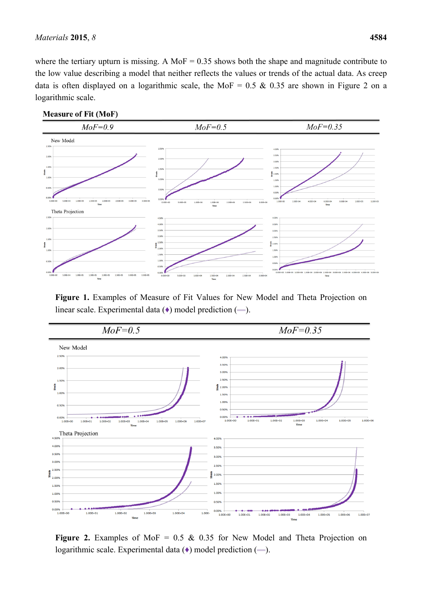where the tertiary upturn is missing. A MoF =  $0.35$  shows both the shape and magnitude contribute to the low value describing a model that neither reflects the values or trends of the actual data. As creep data is often displayed on a logarithmic scale, the MoF =  $0.5 \& 0.35$  are shown in Figure 2 on a logarithmic scale.



**Figure 1.** Examples of Measure of Fit Values for New Model and Theta Projection on linear scale. Experimental data  $(\bullet)$  model prediction  $(\rightarrow)$ .



**Figure 2.** Examples of MoF =  $0.5 \& 0.35$  for New Model and Theta Projection on logarithmic scale. Experimental data  $(\rightarrow)$  model prediction  $(\rightarrow)$ .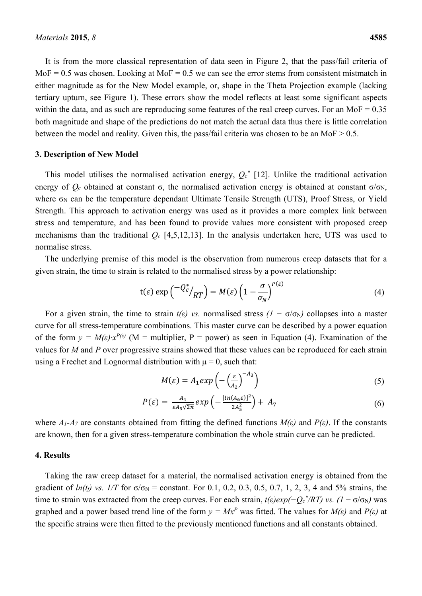It is from the more classical representation of data seen in Figure 2, that the pass/fail criteria of  $MoF = 0.5$  was chosen. Looking at  $MoF = 0.5$  we can see the error stems from consistent mistmatch in either magnitude as for the New Model example, or, shape in the Theta Projection example (lacking tertiary upturn, see Figure 1). These errors show the model reflects at least some significant aspects within the data, and as such are reproducing some features of the real creep curves. For an MoF  $= 0.35$ both magnitude and shape of the predictions do not match the actual data thus there is little correlation between the model and reality. Given this, the pass/fail criteria was chosen to be an MoF > 0.5.

#### **3. Description of New Model**

This model utilises the normalised activation energy,  $Q_c^*$  [12]. Unlike the traditional activation energy of  $Q_c$  obtained at constant  $\sigma$ , the normalised activation energy is obtained at constant  $\sigma/\sigma_N$ , where σ<sub>N</sub> can be the temperature dependant Ultimate Tensile Strength (UTS), Proof Stress, or Yield Strength. This approach to activation energy was used as it provides a more complex link between stress and temperature, and has been found to provide values more consistent with proposed creep mechanisms than the traditional *Qc* [4,5,12,13]. In the analysis undertaken here, UTS was used to normalise stress.

The underlying premise of this model is the observation from numerous creep datasets that for a given strain, the time to strain is related to the normalised stress by a power relationship:

$$
t(\varepsilon) \exp\left(\frac{-Q_c^*}{RT}\right) = M(\varepsilon) \left(1 - \frac{\sigma}{\sigma_N}\right)^{P(\varepsilon)}\tag{4}
$$

For a given strain, the time to strain  $t(\varepsilon)$  vs. normalised stress  $(1 - \sigma/\sigma_N)$  collapses into a master curve for all stress-temperature combinations. This master curve can be described by a power equation of the form  $y = M(\varepsilon)x^{P(\varepsilon)}$  (M = multiplier, P = power) as seen in Equation (4). Examination of the values for *M* and *P* over progressive strains showed that these values can be reproduced for each strain using a Frechet and Lognormal distribution with  $\mu = 0$ , such that:

$$
M(\varepsilon) = A_1 \exp\left(-\left(\frac{\varepsilon}{A_2}\right)^{-A_3}\right) \tag{5}
$$

$$
P(\varepsilon) = \frac{A_4}{\varepsilon A_5 \sqrt{2\pi}} \exp\left(-\frac{[ln(A_6\varepsilon)]^2}{2A_5^2}\right) + A_7 \tag{6}
$$

where  $A_1 - A_7$  are constants obtained from fitting the defined functions  $M(\varepsilon)$  and  $P(\varepsilon)$ . If the constants are known, then for a given stress-temperature combination the whole strain curve can be predicted.

#### **4. Results**

Taking the raw creep dataset for a material, the normalised activation energy is obtained from the gradient of  $ln(t_f)$  vs.  $1/T$  for  $\sigma/\sigma_N$  = constant. For 0.1, 0.2, 0.3, 0.5, 0.7, 1, 2, 3, 4 and 5% strains, the time to strain was extracted from the creep curves. For each strain,  $t(\varepsilon)exp(-Q_c^* /RT)$  vs.  $(I - \sigma/\sigma_N)$  was graphed and a power based trend line of the form  $y = Mx^P$  was fitted. The values for  $M(\varepsilon)$  and  $P(\varepsilon)$  at the specific strains were then fitted to the previously mentioned functions and all constants obtained.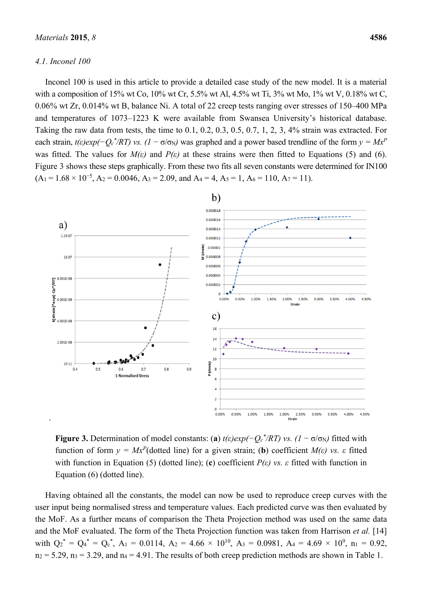#### *4.1. Inconel 100*

Inconel 100 is used in this article to provide a detailed case study of the new model. It is a material with a composition of 15% wt Co, 10% wt Cr, 5.5% wt Al, 4.5% wt Ti, 3% wt Mo, 1% wt V, 0.18% wt C, 0.06% wt Zr, 0.014% wt B, balance Ni. A total of 22 creep tests ranging over stresses of 150–400 MPa and temperatures of 1073–1223 K were available from Swansea University's historical database. Taking the raw data from tests, the time to 0.1, 0.2, 0.3, 0.5, 0.7, 1, 2, 3, 4% strain was extracted. For each strain,  $t(\varepsilon)exp(-Q_c^* /RT)$  vs.  $(I - \sigma/\sigma_N)$  was graphed and a power based trendline of the form  $y = Mx^p$ was fitted. The values for  $M(\varepsilon)$  and  $P(\varepsilon)$  at these strains were then fitted to Equations (5) and (6). Figure 3 shows these steps graphically. From these two fits all seven constants were determined for IN100  $(A_1 = 1.68 \times 10^{-5}, A_2 = 0.0046, A_3 = 2.09, \text{ and } A_4 = 4, A_5 = 1, A_6 = 110, A_7 = 11).$ 



**Figure 3.** Determination of model constants: (a)  $t(\varepsilon)exp(-Q_c^* /RT)$  vs.  $(1 - \sigma/\sigma_N)$  fitted with function of form  $y = Mx^P$ (dotted line) for a given strain; (**b**) coefficient  $M(\varepsilon)$  vs.  $\varepsilon$  fitted with function in Equation (5) (dotted line); (c) coefficient  $P(\varepsilon)$  vs.  $\varepsilon$  fitted with function in Equation (6) (dotted line).

Having obtained all the constants, the model can now be used to reproduce creep curves with the user input being normalised stress and temperature values. Each predicted curve was then evaluated by the MoF. As a further means of comparison the Theta Projection method was used on the same data and the MoF evaluated. The form of the Theta Projection function was taken from Harrison *et al.* [14] with  $Q_2^* = Q_4^* = Q_c^*$ ,  $A_1 = 0.0114$ ,  $A_2 = 4.66 \times 10^{10}$ ,  $A_3 = 0.0981$ ,  $A_4 = 4.69 \times 10^9$ ,  $n_1 = 0.92$ ,  $n_2 = 5.29$ ,  $n_3 = 3.29$ , and  $n_4 = 4.91$ . The results of both creep prediction methods are shown in Table 1.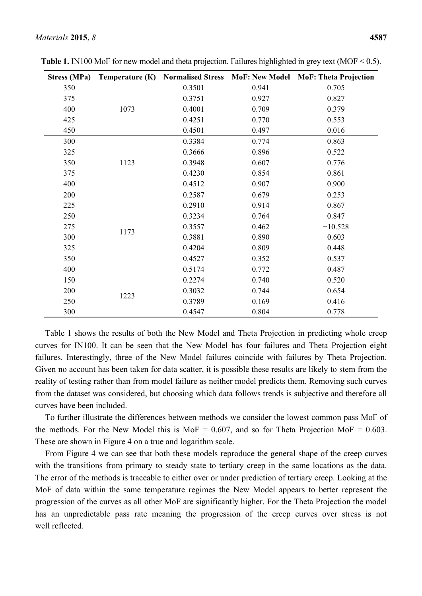| <b>Stress (MPa)</b> | Temperature (K) | <b>Normalised Stress</b> | <b>MoF: New Model</b> | <b>MoF: Theta Projection</b> |
|---------------------|-----------------|--------------------------|-----------------------|------------------------------|
| 350                 |                 | 0.3501                   | 0.941                 | 0.705                        |
| 375                 | 1073            | 0.3751                   | 0.927                 | 0.827                        |
| 400                 |                 | 0.4001                   | 0.709                 | 0.379                        |
| 425                 |                 | 0.4251                   | 0.770                 | 0.553                        |
| 450                 |                 | 0.4501                   | 0.497                 | 0.016                        |
| 300                 |                 | 0.3384                   | 0.774                 | 0.863                        |
| 325                 |                 | 0.3666                   | 0.896                 | 0.522                        |
| 350                 | 1123            | 0.3948                   | 0.607                 | 0.776                        |
| 375                 |                 | 0.4230                   | 0.854                 | 0.861                        |
| 400                 |                 | 0.4512                   | 0.907                 | 0.900                        |
| 200                 |                 | 0.2587                   | 0.679                 | 0.253                        |
| 225                 |                 | 0.2910                   | 0.914                 | 0.867                        |
| 250                 |                 | 0.3234                   | 0.764                 | 0.847                        |
| 275                 |                 | 0.3557                   | 0.462                 | $-10.528$                    |
| 300                 | 1173            | 0.3881                   | 0.890                 | 0.603                        |
| 325                 |                 | 0.4204                   | 0.809                 | 0.448                        |
| 350                 |                 | 0.4527                   | 0.352                 | 0.537                        |
| 400                 |                 | 0.5174                   | 0.772                 | 0.487                        |
| 150                 |                 | 0.2274                   | 0.740                 | 0.520                        |
| 200                 |                 | 0.3032                   | 0.744                 | 0.654                        |
| 250                 | 1223            | 0.3789                   | 0.169                 | 0.416                        |
| 300                 |                 | 0.4547                   | 0.804                 | 0.778                        |

**Table 1.** IN100 MoF for new model and theta projection. Failures highlighted in grey text (MOF < 0.5).

Table 1 shows the results of both the New Model and Theta Projection in predicting whole creep curves for IN100. It can be seen that the New Model has four failures and Theta Projection eight failures. Interestingly, three of the New Model failures coincide with failures by Theta Projection. Given no account has been taken for data scatter, it is possible these results are likely to stem from the reality of testing rather than from model failure as neither model predicts them. Removing such curves from the dataset was considered, but choosing which data follows trends is subjective and therefore all curves have been included.

To further illustrate the differences between methods we consider the lowest common pass MoF of the methods. For the New Model this is MoF =  $0.607$ , and so for Theta Projection MoF =  $0.603$ . These are shown in Figure 4 on a true and logarithm scale.

From Figure 4 we can see that both these models reproduce the general shape of the creep curves with the transitions from primary to steady state to tertiary creep in the same locations as the data. The error of the methods is traceable to either over or under prediction of tertiary creep. Looking at the MoF of data within the same temperature regimes the New Model appears to better represent the progression of the curves as all other MoF are significantly higher. For the Theta Projection the model has an unpredictable pass rate meaning the progression of the creep curves over stress is not well reflected.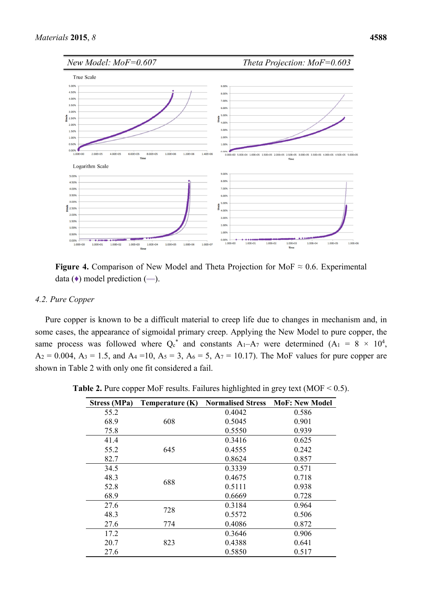

**Figure 4.** Comparison of New Model and Theta Projection for MoF  $\approx 0.6$ . Experimental data  $(•)$  model prediction  $(—)$ .

## *4.2. Pure Copper*

Pure copper is known to be a difficult material to creep life due to changes in mechanism and, in some cases, the appearance of sigmoidal primary creep. Applying the New Model to pure copper, the same process was followed where  $Q_c^*$  and constants  $A_1 - A_7$  were determined  $(A_1 = 8 \times 10^4)$ ,  $A_2 = 0.004$ ,  $A_3 = 1.5$ , and  $A_4 = 10$ ,  $A_5 = 3$ ,  $A_6 = 5$ ,  $A_7 = 10.17$ ). The MoF values for pure copper are shown in Table 2 with only one fit considered a fail.

| <b>Stress (MPa)</b> | Temperature (K) | <b>Normalised Stress</b> | <b>MoF: New Model</b> |
|---------------------|-----------------|--------------------------|-----------------------|
| 55.2                |                 | 0.4042                   | 0.586                 |
| 68.9                | 608             | 0.5045                   | 0.901                 |
| 75.8                |                 | 0.5550                   | 0.939                 |
| 41.4                |                 | 0.3416                   | 0.625                 |
| 55.2                | 645             | 0.4555                   | 0.242                 |
| 82.7                |                 | 0.8624                   | 0.857                 |
| 34.5                | 688             | 0.3339                   | 0.571                 |
| 48.3                |                 | 0.4675                   | 0.718                 |
| 52.8                |                 | 0.5111                   | 0.938                 |
| 68.9                |                 | 0.6669                   | 0.728                 |
| 27.6                | 728             | 0.3184                   | 0.964                 |
| 48.3                |                 | 0.5572                   | 0.506                 |
| 27.6                | 774             | 0.4086                   | 0.872                 |
| 17.2                |                 | 0.3646                   | 0.906                 |
| 20.7                | 823             | 0.4388                   | 0.641                 |
| 27.6                |                 | 0.5850                   | 0.517                 |

**Table 2.** Pure copper MoF results. Failures highlighted in grey text (MOF < 0.5).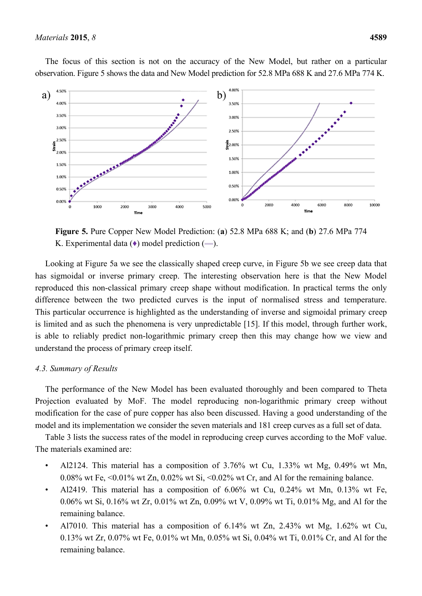

The focus of this section is not on the accuracy of the New Model, but rather on a particular observation. Figure 5 shows the data and New Model prediction for 52.8 MPa 688 K and 27.6 MPa 774 K.

**Figure 5.** Pure Copper New Model Prediction: (**a**) 52.8 MPa 688 K; and (**b**) 27.6 MPa 774 K. Experimental data  $(•)$  model prediction  $(—)$ .

Looking at Figure 5a we see the classically shaped creep curve, in Figure 5b we see creep data that has sigmoidal or inverse primary creep. The interesting observation here is that the New Model reproduced this non-classical primary creep shape without modification. In practical terms the only difference between the two predicted curves is the input of normalised stress and temperature. This particular occurrence is highlighted as the understanding of inverse and sigmoidal primary creep is limited and as such the phenomena is very unpredictable [15]. If this model, through further work, is able to reliably predict non-logarithmic primary creep then this may change how we view and understand the process of primary creep itself.

#### *4.3. Summary of Results*

The performance of the New Model has been evaluated thoroughly and been compared to Theta Projection evaluated by MoF. The model reproducing non-logarithmic primary creep without modification for the case of pure copper has also been discussed. Having a good understanding of the model and its implementation we consider the seven materials and 181 creep curves as a full set of data.

Table 3 lists the success rates of the model in reproducing creep curves according to the MoF value. The materials examined are:

- Al2124. This material has a composition of 3.76% wt Cu, 1.33% wt Mg, 0.49% wt Mn, 0.08% wt Fe,  $\leq 0.01\%$  wt Zn, 0.02% wt Si,  $\leq 0.02\%$  wt Cr, and Al for the remaining balance.
- Al2419. This material has a composition of 6.06% wt Cu, 0.24% wt Mn, 0.13% wt Fe, 0.06% wt Si, 0.16% wt Zr, 0.01% wt Zn, 0.09% wt V, 0.09% wt Ti, 0.01% Mg, and Al for the remaining balance.
- Al7010. This material has a composition of 6.14% wt Zn, 2.43% wt Mg, 1.62% wt Cu, 0.13% wt Zr, 0.07% wt Fe, 0.01% wt Mn, 0.05% wt Si, 0.04% wt Ti, 0.01% Cr, and Al for the remaining balance.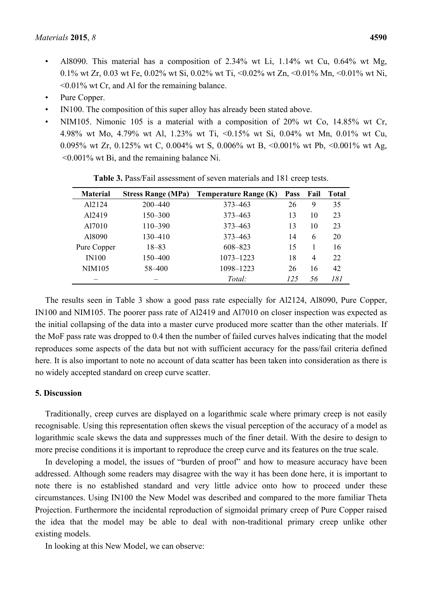- Al8090. This material has a composition of 2.34% wt Li, 1.14% wt Cu, 0.64% wt Mg, 0.1% wt Zr, 0.03 wt Fe, 0.02% wt Si, 0.02% wt Ti, <0.02% wt Zn, <0.01% Mn, <0.01% wt Ni, <0.01% wt Cr, and Al for the remaining balance.
- Pure Copper.
- IN100. The composition of this super alloy has already been stated above.
- NIM105. Nimonic 105 is a material with a composition of  $20\%$  wt Co, 14.85% wt Cr, 4.98% wt Mo, 4.79% wt Al, 1.23% wt Ti, <0.15% wt Si, 0.04% wt Mn, 0.01% wt Cu, 0.095% wt Zr, 0.125% wt C, 0.004% wt S, 0.006% wt B, <0.001% wt Pb, <0.001% wt Ag, <0.001% wt Bi, and the remaining balance Ni.

| <b>Material</b>    | <b>Stress Range (MPa)</b> | <b>Temperature Range (K)</b> | <b>Pass</b> | Fail           | <b>Total</b> |
|--------------------|---------------------------|------------------------------|-------------|----------------|--------------|
| A <sub>12124</sub> | $200 - 440$               | 373–463                      | 26          | 9              | 35           |
| A <sub>12419</sub> | $150 - 300$               | 373–463                      | 13          | 10             | 23           |
| Al7010             | $110 - 390$               | 373–463                      | 13          | 10             | 23           |
| A18090             | $130 - 410$               | 373–463                      | 14          | 6              | 20           |
| Pure Copper        | $18 - 83$                 | 608-823                      | 15          |                | 16           |
| <b>IN100</b>       | 150–400                   | $1073 - 1223$                | 18          | $\overline{4}$ | 22           |
| <b>NIM105</b>      | 58-400                    | 1098-1223                    | 26          | 16             | 42           |
|                    |                           | Total:                       | 125         | 56             | 181          |

**Table 3.** Pass/Fail assessment of seven materials and 181 creep tests.

The results seen in Table 3 show a good pass rate especially for Al2124, Al8090, Pure Copper, IN100 and NIM105. The poorer pass rate of Al2419 and Al7010 on closer inspection was expected as the initial collapsing of the data into a master curve produced more scatter than the other materials. If the MoF pass rate was dropped to 0.4 then the number of failed curves halves indicating that the model reproduces some aspects of the data but not with sufficient accuracy for the pass/fail criteria defined here. It is also important to note no account of data scatter has been taken into consideration as there is no widely accepted standard on creep curve scatter.

### **5. Discussion**

Traditionally, creep curves are displayed on a logarithmic scale where primary creep is not easily recognisable. Using this representation often skews the visual perception of the accuracy of a model as logarithmic scale skews the data and suppresses much of the finer detail. With the desire to design to more precise conditions it is important to reproduce the creep curve and its features on the true scale.

In developing a model, the issues of "burden of proof" and how to measure accuracy have been addressed. Although some readers may disagree with the way it has been done here, it is important to note there is no established standard and very little advice onto how to proceed under these circumstances. Using IN100 the New Model was described and compared to the more familiar Theta Projection. Furthermore the incidental reproduction of sigmoidal primary creep of Pure Copper raised the idea that the model may be able to deal with non-traditional primary creep unlike other existing models.

In looking at this New Model, we can observe: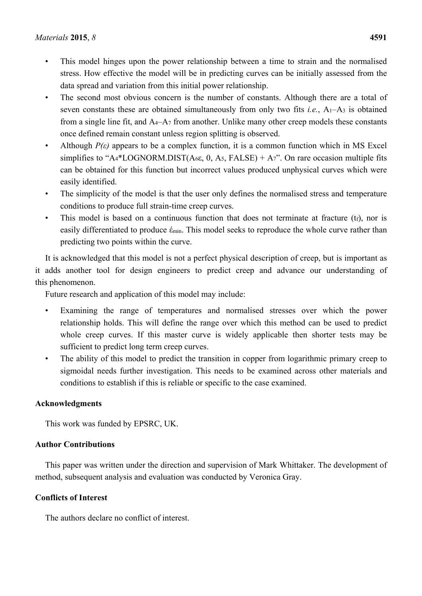- This model hinges upon the power relationship between a time to strain and the normalised stress. How effective the model will be in predicting curves can be initially assessed from the data spread and variation from this initial power relationship.
- The second most obvious concern is the number of constants. Although there are a total of seven constants these are obtained simultaneously from only two fits *i.e.*,  $A_1 - A_3$  is obtained from a single line fit, and A4–A7 from another. Unlike many other creep models these constants once defined remain constant unless region splitting is observed.
- Although  $P(\varepsilon)$  appears to be a complex function, it is a common function which in MS Excel simplifies to "A<sub>4</sub>\*LOGNORM.DIST( $A_{6}$ ε, 0, A<sub>5</sub>, FALSE) + A<sub>7</sub>". On rare occasion multiple fits can be obtained for this function but incorrect values produced unphysical curves which were easily identified.
- The simplicity of the model is that the user only defines the normalised stress and temperature conditions to produce full strain-time creep curves.
- This model is based on a continuous function that does not terminate at fracture (tf), nor is easily differentiated to produce έmin. This model seeks to reproduce the whole curve rather than predicting two points within the curve.

It is acknowledged that this model is not a perfect physical description of creep, but is important as it adds another tool for design engineers to predict creep and advance our understanding of this phenomenon.

Future research and application of this model may include:

- Examining the range of temperatures and normalised stresses over which the power relationship holds. This will define the range over which this method can be used to predict whole creep curves. If this master curve is widely applicable then shorter tests may be sufficient to predict long term creep curves.
- The ability of this model to predict the transition in copper from logarithmic primary creep to sigmoidal needs further investigation. This needs to be examined across other materials and conditions to establish if this is reliable or specific to the case examined.

## **Acknowledgments**

This work was funded by EPSRC, UK.

## **Author Contributions**

This paper was written under the direction and supervision of Mark Whittaker. The development of method, subsequent analysis and evaluation was conducted by Veronica Gray.

## **Conflicts of Interest**

The authors declare no conflict of interest.